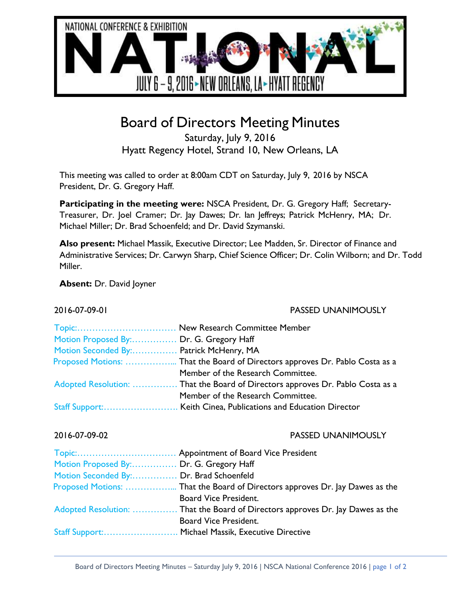

# Board of Directors Meeting Minutes

Saturday, July 9, 2016 Hyatt Regency Hotel, Strand 10, New Orleans, LA

This meeting was called to order at 8:00am CDT on Saturday, July 9, 2016 by NSCA President, Dr. G. Gregory Haff.

**Participating in the meeting were:** NSCA President, Dr. G. Gregory Haff; Secretary-Treasurer, Dr. Joel Cramer; Dr. Jay Dawes; Dr. Ian Jeffreys; Patrick McHenry, MA; Dr. Michael Miller; Dr. Brad Schoenfeld; and Dr. David Szymanski.

**Also present:** Michael Massik, Executive Director; Lee Madden, Sr. Director of Finance and Administrative Services; Dr. Carwyn Sharp, Chief Science Officer; Dr. Colin Wilborn; and Dr. Todd Miller.

**Absent:** Dr. David Joyner

2016-07-09-01 PASSED UNANIMOUSLY

| Motion Proposed By: Dr. G. Gregory Haff |                                                                                |
|-----------------------------------------|--------------------------------------------------------------------------------|
| Motion Seconded By: Patrick McHenry, MA |                                                                                |
|                                         | Proposed Motions:  That the Board of Directors approves Dr. Pablo Costa as a   |
|                                         | Member of the Research Committee.                                              |
|                                         | Adopted Resolution:  That the Board of Directors approves Dr. Pablo Costa as a |
|                                         | Member of the Research Committee.                                              |
|                                         |                                                                                |

## 2016-07-09-02 PASSED UNANIMOUSLY

| Motion Proposed By: Dr. G. Gregory Haff |                                                                                |
|-----------------------------------------|--------------------------------------------------------------------------------|
| Motion Seconded By: Dr. Brad Schoenfeld |                                                                                |
|                                         | Proposed Motions:  That the Board of Directors approves Dr. Jay Dawes as the   |
|                                         | <b>Board Vice President.</b>                                                   |
|                                         | Adopted Resolution:  That the Board of Directors approves Dr. Jay Dawes as the |
|                                         | Board Vice President.                                                          |
|                                         | Staff Support: Michael Massik, Executive Directive                             |